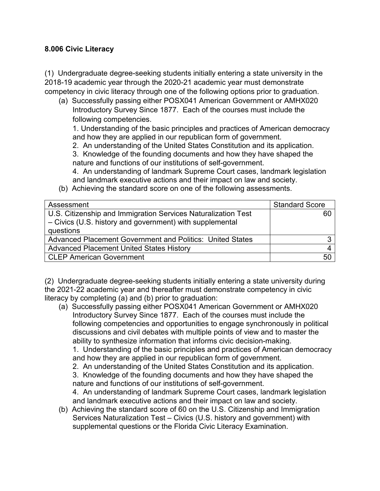## **8.006 Civic Literacy**

(1) Undergraduate degree-seeking students initially entering a state university in the 2018-19 academic year through the 2020-21 academic year must demonstrate competency in civic literacy through one of the following options prior to graduation.

(a) Successfully passing either POSX041 American Government or AMHX020 Introductory Survey Since 1877. Each of the courses must include the following competencies.

1. Understanding of the basic principles and practices of American democracy and how they are applied in our republican form of government.

2. An understanding of the United States Constitution and its application.

3. Knowledge of the founding documents and how they have shaped the nature and functions of our institutions of self-government.

4. An understanding of landmark Supreme Court cases, landmark legislation and landmark executive actions and their impact on law and society.

(b) Achieving the standard score on one of the following assessments.

| Assessment                                                    | <b>Standard Score</b> |
|---------------------------------------------------------------|-----------------------|
| U.S. Citizenship and Immigration Services Naturalization Test | 60                    |
| - Civics (U.S. history and government) with supplemental      |                       |
| questions                                                     |                       |
| Advanced Placement Government and Politics: United States     |                       |
| <b>Advanced Placement United States History</b>               |                       |
| <b>CLEP American Government</b>                               | 50                    |

(2) Undergraduate degree-seeking students initially entering a state university during the 2021-22 academic year and thereafter must demonstrate competency in civic literacy by completing (a) and (b) prior to graduation:

(a) Successfully passing either POSX041 American Government or AMHX020 Introductory Survey Since 1877. Each of the courses must include the following competencies and opportunities to engage synchronously in political discussions and civil debates with multiple points of view and to master the ability to synthesize information that informs civic decision-making.

1. Understanding of the basic principles and practices of American democracy and how they are applied in our republican form of government.

2. An understanding of the United States Constitution and its application.

3. Knowledge of the founding documents and how they have shaped the nature and functions of our institutions of self-government.

4. An understanding of landmark Supreme Court cases, landmark legislation and landmark executive actions and their impact on law and society.

(b) Achieving the standard score of 60 on the U.S. Citizenship and Immigration Services Naturalization Test – Civics (U.S. history and government) with supplemental questions or the Florida Civic Literacy Examination.